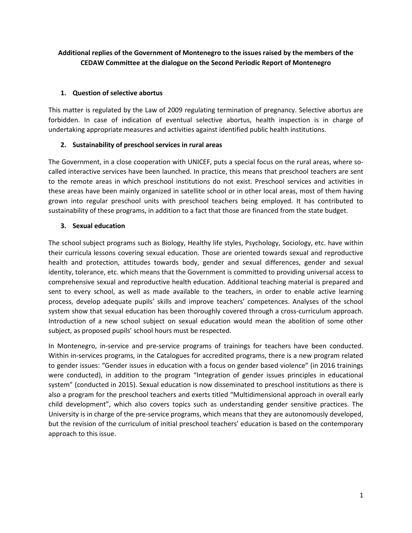# **Additional replies of the Government of Montenegro to the issues raised by the members of the CEDAW Committee at the dialogue on the Second Periodic Report of Montenegro**

# **1. Question of selective abortus**

This matter is regulated by the Law of 2009 regulating termination of pregnancy. Selective abortus are forbidden. In case of indication of eventual selective abortus, health inspection is in charge of undertaking appropriate measures and activities against identified public health institutions.

# **2. Sustainability of preschool services in rural areas**

The Government, in a close cooperation with UNICEF, puts a special focus on the rural areas, where socalled interactive services have been launched. In practice, this means that preschool teachers are sent to the remote areas in which preschool institutions do not exist. Preschool services and activities in these areas have been mainly organized in satellite school or in other local areas, most of them having grown into regular preschool units with preschool teachers being employed. It has contributed to sustainability of these programs, in addition to a fact that those are financed from the state budget.

# **3. Sexual education**

The school subject programs such as Biology, Healthy life styles, Psychology, Sociology, etc. have within their curricula lessons covering sexual education. Those are oriented towards sexual and reproductive health and protection, attitudes towards body, gender and sexual differences, gender and sexual identity, tolerance, etc. which means that the Government is committed to providing universal access to comprehensive sexual and reproductive health education. Additional teaching material is prepared and sent to every school, as well as made available to the teachers, in order to enable active learning process, develop adequate pupils' skills and improve teachers' competences. Analyses of the school system show that sexual education has been thoroughly covered through a cross-curriculum approach. Introduction of a new school subject on sexual education would mean the abolition of some other subject, as proposed pupils' school hours must be respected.

In Montenegro, in-service and pre-service programs of trainings for teachers have been conducted. Within in-services programs, in the Catalogues for accredited programs, there is a new program related to gender issues: "Gender issues in education with a focus on gender based violence" (in 2016 trainings were conducted), in addition to the program "Integration of gender issues principles in educational system" (conducted in 2015). Sexual education is now disseminated to preschool institutions as there is also a program for the preschool teachers and exerts titled "Multidimensional approach in overall early child development", which also covers topics such as understanding gender sensitive practices. The University is in charge of the pre-service programs, which means that they are autonomously developed, but the revision of the curriculum of initial preschool teachers' education is based on the contemporary approach to this issue.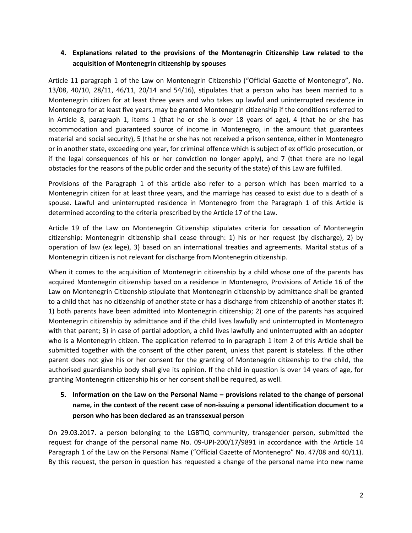# **4. Explanations related to the provisions of the Montenegrin Citizenship Law related to the acquisition of Montenegrin citizenship by spouses**

Article 11 paragraph 1 of the Law on Montenegrin Citizenship ("Official Gazette of Montenegro", No. 13/08, 40/10, 28/11, 46/11, 20/14 and 54/16), stipulates that a person who has been married to a Montenegrin citizen for at least three years and who takes up lawful and uninterrupted residence in Montenegro for at least five years, may be granted Montenegrin citizenship if the conditions referred to in Article 8, paragraph 1, items 1 (that he or she is over 18 years of age), 4 (that he or she has accommodation and guaranteed source of income in Montenegro, in the amount that guarantees material and social security), 5 (that he or she has not received a prison sentence, either in Montenegro or in another state, exceeding one year, for criminal offence which is subject of ex officio prosecution, or if the legal consequences of his or her conviction no longer apply), and 7 (that there are no legal obstacles for the reasons of the public order and the security of the state) of this Law are fulfilled.

Provisions of the Paragraph 1 of this article also refer to a person which has been married to a Montenegrin citizen for at least three years, and the marriage has ceased to exist due to a death of a spouse. Lawful and uninterrupted residence in Montenegro from the Paragraph 1 of this Article is determined according to the criteria prescribed by the Article 17 of the Law.

Article 19 of the Law on Montenegrin Citizenship stipulates criteria for cessation of Montenegrin citizenship: Montenegrin citizenship shall cease through: 1) his or her request (by discharge), 2) by operation of law (ex lege), 3) based on an international treaties and agreements. Marital status of a Montenegrin citizen is not relevant for discharge from Montenegrin citizenship.

When it comes to the acquisition of Montenegrin citizenship by a child whose one of the parents has acquired Montenegrin citizenship based on a residence in Montenegro, Provisions of Article 16 of the Law on Montenegrin Citizenship stipulate that Montenegrin citizenship by admittance shall be granted to a child that has no citizenship of another state or has a discharge from citizenship of another states if: 1) both parents have been admitted into Montenegrin citizenship; 2) one of the parents has acquired Montenegrin citizenship by admittance and if the child lives lawfully and uninterrupted in Montenegro with that parent; 3) in case of partial adoption, a child lives lawfully and uninterrupted with an adopter who is a Montenegrin citizen. The application referred to in paragraph 1 item 2 of this Article shall be submitted together with the consent of the other parent, unless that parent is stateless. If the other parent does not give his or her consent for the granting of Montenegrin citizenship to the child, the authorised guardianship body shall give its opinion. If the child in question is over 14 years of age, for granting Montenegrin citizenship his or her consent shall be required, as well.

# **5.** Information on the Law on the Personal Name – provisions related to the change of personal **name, in the context of the recent case of non-issuing a personal identification document to a person who has been declared as an transsexual person**

On 29.03.2017. a person belonging to the LGBTIQ community, transgender person, submitted the request for change of the personal name No. 09-UPI-200/17/9891 in accordance with the Article 14 Paragraph 1 of the Law on the Personal Name ("Official Gazette of Montenegro" No. 47/08 and 40/11). By this request, the person in question has requested a change of the personal name into new name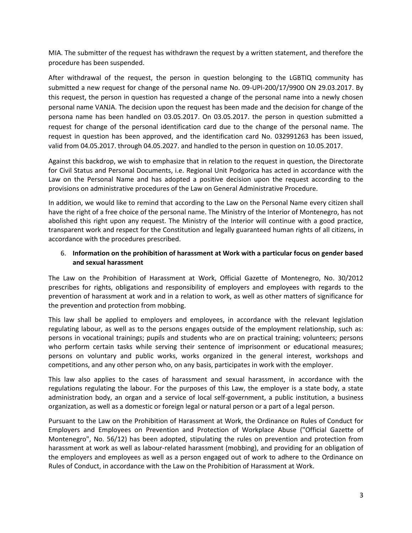MIA. The submitter of the request has withdrawn the request by a written statement, and therefore the procedure has been suspended.

After withdrawal of the request, the person in question belonging to the LGBTIQ community has submitted a new request for change of the personal name No. 09-UPI-200/17/9900 ON 29.03.2017. By this request, the person in question has requested a change of the personal name into a newly chosen personal name VANJA. The decision upon the request has been made and the decision for change of the persona name has been handled on 03.05.2017. On 03.05.2017. the person in question submitted a request for change of the personal identification card due to the change of the personal name. The request in question has been approved, and the identification card No. 032991263 has been issued, valid from 04.05.2017. through 04.05.2027. and handled to the person in question on 10.05.2017.

Against this backdrop, we wish to emphasize that in relation to the request in question, the Directorate for Civil Status and Personal Documents, i.e. Regional Unit Podgorica has acted in accordance with the Law on the Personal Name and has adopted a positive decision upon the request according to the provisions on administrative procedures of the Law on General Administrative Procedure.

In addition, we would like to remind that according to the Law on the Personal Name every citizen shall have the right of a free choice of the personal name. The Ministry of the Interior of Montenegro, has not abolished this right upon any request. The Ministry of the Interior will continue with a good practice, transparent work and respect for the Constitution and legally guaranteed human rights of all citizens, in accordance with the procedures prescribed.

# 6. **Information on the prohibition of harassment at Work with a particular focus on gender based and sexual harassment**

The Law on the Prohibition of Harassment at Work, Official Gazette of Montenegro, No. 30/2012 prescribes for rights, obligations and responsibility of employers and employees with regards to the prevention of harassment at work and in a relation to work, as well as other matters of significance for the prevention and protection from mobbing.

This law shall be applied to employers and employees, in accordance with the relevant legislation regulating labour, as well as to the persons engages outside of the employment relationship, such as: persons in vocational trainings; pupils and students who are on practical training; volunteers; persons who perform certain tasks while serving their sentence of imprisonment or educational measures; persons on voluntary and public works, works organized in the general interest, workshops and competitions, and any other person who, on any basis, participates in work with the employer.

This law also applies to the cases of harassment and sexual harassment, in accordance with the regulations regulating the labour. For the purposes of this Law, the employer is a state body, a state administration body, an organ and a service of local self-government, a public institution, a business organization, as well as a domestic or foreign legal or natural person or a part of a legal person.

Pursuant to the Law on the Prohibition of Harassment at Work, the Ordinance on Rules of Conduct for Employers and Employees on Prevention and Protection of Workplace Abuse ("Official Gazette of Montenegro", No. 56/12) has been adopted, stipulating the rules on prevention and protection from harassment at work as well as labour-related harassment (mobbing), and providing for an obligation of the employers and employees as well as a person engaged out of work to adhere to the Ordinance on Rules of Conduct, in accordance with the Law on the Prohibition of Harassment at Work.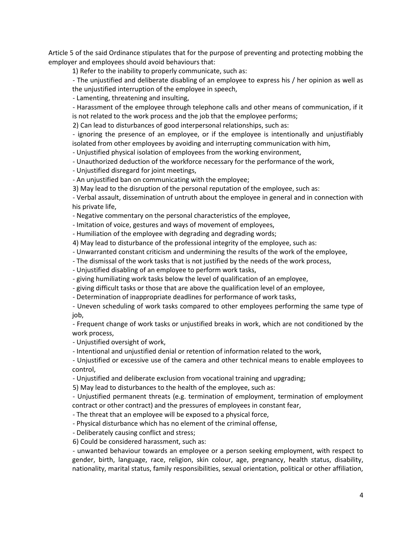Article 5 of the said Ordinance stipulates that for the purpose of preventing and protecting mobbing the employer and employees should avoid behaviours that:

1) Refer to the inability to properly communicate, such as:

- The unjustified and deliberate disabling of an employee to express his / her opinion as well as the unjustified interruption of the employee in speech,

- Lamenting, threatening and insulting,

- Harassment of the employee through telephone calls and other means of communication, if it is not related to the work process and the job that the employee performs;

2) Can lead to disturbances of good interpersonal relationships, such as:

- ignoring the presence of an employee, or if the employee is intentionally and unjustifiably isolated from other employees by avoiding and interrupting communication with him,

- Unjustified physical isolation of employees from the working environment,

- Unauthorized deduction of the workforce necessary for the performance of the work,

- Unjustified disregard for joint meetings,

- An unjustified ban on communicating with the employee;

3) May lead to the disruption of the personal reputation of the employee, such as:

- Verbal assault, dissemination of untruth about the employee in general and in connection with his private life,

- Negative commentary on the personal characteristics of the employee,

- Imitation of voice, gestures and ways of movement of employees,

- Humiliation of the employee with degrading and degrading words;

4) May lead to disturbance of the professional integrity of the employee, such as:

- Unwarranted constant criticism and undermining the results of the work of the employee,

- The dismissal of the work tasks that is not justified by the needs of the work process,

- Unjustified disabling of an employee to perform work tasks,

- giving humiliating work tasks below the level of qualification of an employee,

- giving difficult tasks or those that are above the qualification level of an employee,

- Determination of inappropriate deadlines for performance of work tasks,

- Uneven scheduling of work tasks compared to other employees performing the same type of job,

- Frequent change of work tasks or unjustified breaks in work, which are not conditioned by the work process,

- Unjustified oversight of work,

- Intentional and unjustified denial or retention of information related to the work,

- Unjustified or excessive use of the camera and other technical means to enable employees to control,

- Unjustified and deliberate exclusion from vocational training and upgrading;

5) May lead to disturbances to the health of the employee, such as:

- Unjustified permanent threats (e.g. termination of employment, termination of employment contract or other contract) and the pressures of employees in constant fear,

- The threat that an employee will be exposed to a physical force,

- Physical disturbance which has no element of the criminal offense,

- Deliberately causing conflict and stress;

6) Could be considered harassment, such as:

- unwanted behaviour towards an employee or a person seeking employment, with respect to gender, birth, language, race, religion, skin colour, age, pregnancy, health status, disability, nationality, marital status, family responsibilities, sexual orientation, political or other affiliation,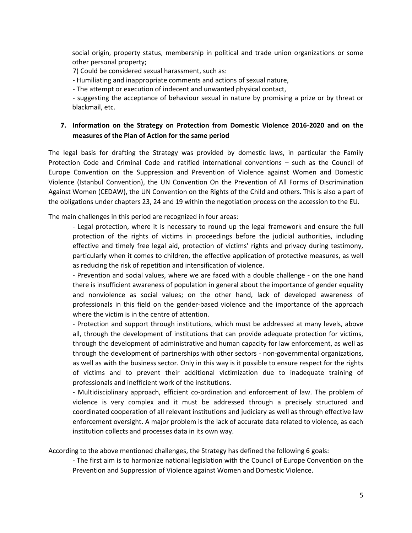social origin, property status, membership in political and trade union organizations or some other personal property;

7) Could be considered sexual harassment, such as:

- Humiliating and inappropriate comments and actions of sexual nature,

- The attempt or execution of indecent and unwanted physical contact,

- suggesting the acceptance of behaviour sexual in nature by promising a prize or by threat or blackmail, etc.

## **7. Information on the Strategy on Protection from Domestic Violence 2016-2020 and on the measures of the Plan of Action for the same period**

The legal basis for drafting the Strategy was provided by domestic laws, in particular the Family Protection Code and Criminal Code and ratified international conventions – such as the Council of Europe Convention on the Suppression and Prevention of Violence against Women and Domestic Violence (Istanbul Convention), the UN Convention On the Prevention of All Forms of Discrimination Against Women (CEDAW), the UN Convention on the Rights of the Child and others. This is also a part of the obligations under chapters 23, 24 and 19 within the negotiation process on the accession to the EU.

The main challenges in this period are recognized in four areas:

- Legal protection, where it is necessary to round up the legal framework and ensure the full protection of the rights of victims in proceedings before the judicial authorities, including effective and timely free legal aid, protection of victims' rights and privacy during testimony, particularly when it comes to children, the effective application of protective measures, as well as reducing the risk of repetition and intensification of violence.

- Prevention and social values, where we are faced with a double challenge - on the one hand there is insufficient awareness of population in general about the importance of gender equality and nonviolence as social values; on the other hand, lack of developed awareness of professionals in this field on the gender-based violence and the importance of the approach where the victim is in the centre of attention.

- Protection and support through institutions, which must be addressed at many levels, above all, through the development of institutions that can provide adequate protection for victims, through the development of administrative and human capacity for law enforcement, as well as through the development of partnerships with other sectors - non-governmental organizations, as well as with the business sector. Only in this way is it possible to ensure respect for the rights of victims and to prevent their additional victimization due to inadequate training of professionals and inefficient work of the institutions.

- Multidisciplinary approach, efficient co-ordination and enforcement of law. The problem of violence is very complex and it must be addressed through a precisely structured and coordinated cooperation of all relevant institutions and judiciary as well as through effective law enforcement oversight. A major problem is the lack of accurate data related to violence, as each institution collects and processes data in its own way.

According to the above mentioned challenges, the Strategy has defined the following 6 goals:

- The first aim is to harmonize national legislation with the Council of Europe Convention on the Prevention and Suppression of Violence against Women and Domestic Violence.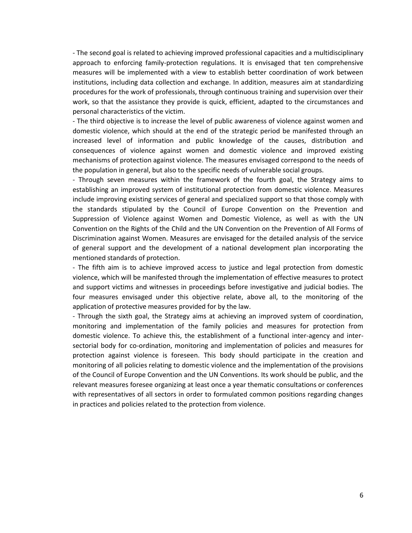- The second goal is related to achieving improved professional capacities and a multidisciplinary approach to enforcing family-protection regulations. It is envisaged that ten comprehensive measures will be implemented with a view to establish better coordination of work between institutions, including data collection and exchange. In addition, measures aim at standardizing procedures for the work of professionals, through continuous training and supervision over their work, so that the assistance they provide is quick, efficient, adapted to the circumstances and personal characteristics of the victim.

- The third objective is to increase the level of public awareness of violence against women and domestic violence, which should at the end of the strategic period be manifested through an increased level of information and public knowledge of the causes, distribution and consequences of violence against women and domestic violence and improved existing mechanisms of protection against violence. The measures envisaged correspond to the needs of the population in general, but also to the specific needs of vulnerable social groups.

- Through seven measures within the framework of the fourth goal, the Strategy aims to establishing an improved system of institutional protection from domestic violence. Measures include improving existing services of general and specialized support so that those comply with the standards stipulated by the Council of Europe Convention on the Prevention and Suppression of Violence against Women and Domestic Violence, as well as with the UN Convention on the Rights of the Child and the UN Convention on the Prevention of All Forms of Discrimination against Women. Measures are envisaged for the detailed analysis of the service of general support and the development of a national development plan incorporating the mentioned standards of protection.

- The fifth aim is to achieve improved access to justice and legal protection from domestic violence, which will be manifested through the implementation of effective measures to protect and support victims and witnesses in proceedings before investigative and judicial bodies. The four measures envisaged under this objective relate, above all, to the monitoring of the application of protective measures provided for by the law.

- Through the sixth goal, the Strategy aims at achieving an improved system of coordination, monitoring and implementation of the family policies and measures for protection from domestic violence. To achieve this, the establishment of a functional inter-agency and intersectorial body for co-ordination, monitoring and implementation of policies and measures for protection against violence is foreseen. This body should participate in the creation and monitoring of all policies relating to domestic violence and the implementation of the provisions of the Council of Europe Convention and the UN Conventions. Its work should be public, and the relevant measures foresee organizing at least once a year thematic consultations or conferences with representatives of all sectors in order to formulated common positions regarding changes in practices and policies related to the protection from violence.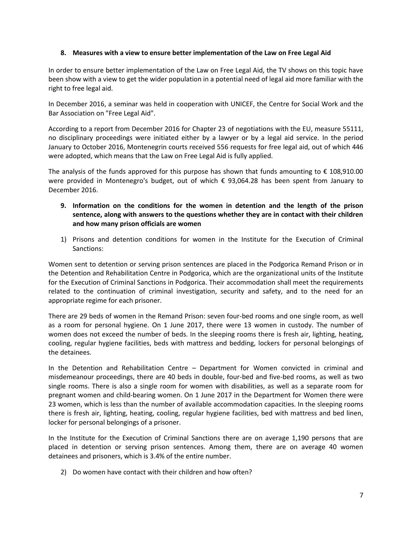## **8. Measures with a view to ensure better implementation of the Law on Free Legal Aid**

In order to ensure better implementation of the Law on Free Legal Aid, the TV shows on this topic have been show with a view to get the wider population in a potential need of legal aid more familiar with the right to free legal aid.

In December 2016, a seminar was held in cooperation with UNICEF, the Centre for Social Work and the Bar Association on "Free Legal Aid".

According to a report from December 2016 for Chapter 23 of negotiations with the EU, measure 55111, no disciplinary proceedings were initiated either by a lawyer or by a legal aid service. In the period January to October 2016, Montenegrin courts received 556 requests for free legal aid, out of which 446 were adopted, which means that the Law on Free Legal Aid is fully applied.

The analysis of the funds approved for this purpose has shown that funds amounting to  $\epsilon$  108,910.00 were provided in Montenegro's budget, out of which € 93,064.28 has been spent from January to December 2016.

- **9. Information on the conditions for the women in detention and the length of the prison sentence, along with answers to the questions whether they are in contact with their children and how many prison officials are women**
- 1) Prisons and detention conditions for women in the Institute for the Execution of Criminal Sanctions:

Women sent to detention or serving prison sentences are placed in the Podgorica Remand Prison or in the Detention and Rehabilitation Centre in Podgorica, which are the organizational units of the Institute for the Execution of Criminal Sanctions in Podgorica. Their accommodation shall meet the requirements related to the continuation of criminal investigation, security and safety, and to the need for an appropriate regime for each prisoner.

There are 29 beds of women in the Remand Prison: seven four-bed rooms and one single room, as well as a room for personal hygiene. On 1 June 2017, there were 13 women in custody. The number of women does not exceed the number of beds. In the sleeping rooms there is fresh air, lighting, heating, cooling, regular hygiene facilities, beds with mattress and bedding, lockers for personal belongings of the detainees.

In the Detention and Rehabilitation Centre – Department for Women convicted in criminal and misdemeanour proceedings, there are 40 beds in double, four-bed and five-bed rooms, as well as two single rooms. There is also a single room for women with disabilities, as well as a separate room for pregnant women and child-bearing women. On 1 June 2017 in the Department for Women there were 23 women, which is less than the number of available accommodation capacities. In the sleeping rooms there is fresh air, lighting, heating, cooling, regular hygiene facilities, bed with mattress and bed linen, locker for personal belongings of a prisoner.

In the Institute for the Execution of Criminal Sanctions there are on average 1,190 persons that are placed in detention or serving prison sentences. Among them, there are on average 40 women detainees and prisoners, which is 3.4% of the entire number.

2) Do women have contact with their children and how often?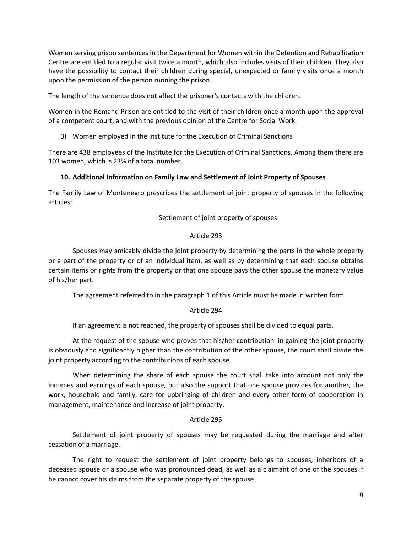Women serving prison sentences in the Department for Women within the Detention and Rehabilitation Centre are entitled to a regular visit twice a month, which also includes visits of their children. They also have the possibility to contact their children during special, unexpected or family visits once a month upon the permission of the person running the prison.

The length of the sentence does not affect the prisoner's contacts with the children.

Women in the Remand Prison are entitled to the visit of their children once a month upon the approval of a competent court, and with the previous opinion of the Centre for Social Work.

3) Women employed in the Institute for the Execution of Criminal Sanctions

There are 438 employees of the Institute for the Execution of Criminal Sanctions. Among them there are 103 women, which is 23% of a total number.

## **10. Additional Information on Family Law and Settlement of Joint Property of Spouses**

The Family Law of Montenegro prescribes the settlement of joint property of spouses in the following articles:

Settlement of joint property of spouses

## Article 293

Spouses may amicably divide the joint property by determining the parts in the whole property or a part of the property or of an individual item, as well as by determining that each spouse obtains certain items or rights from the property or that one spouse pays the other spouse the monetary value of his/her part.

The agreement referred to in the paragraph 1 of this Article must be made in written form.

## Article 294

If an agreement is not reached, the property of spouses shall be divided to equal parts.

At the request of the spouse who proves that his/her contribution in gaining the joint property is obviously and significantly higher than the contribution of the other spouse, the court shall divide the joint property according to the contributions of each spouse.

When determining the share of each spouse the court shall take into account not only the incomes and earnings of each spouse, but also the support that one spouse provides for another, the work, household and family, care for upbringing of children and every other form of cooperation in management, maintenance and increase of joint property.

## Article 295

Settlement of joint property of spouses may be requested during the marriage and after cessation of a marriage.

The right to request the settlement of joint property belongs to spouses, inheritors of a deceased spouse or a spouse who was pronounced dead, as well as a claimant of one of the spouses if he cannot cover his claims from the separate property of the spouse.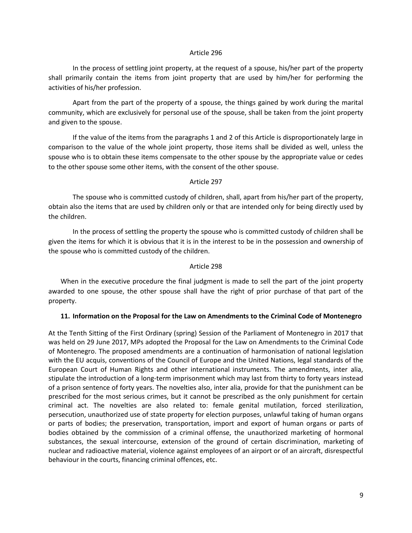#### Article 296

In the process of settling joint property, at the request of a spouse, his/her part of the property shall primarily contain the items from joint property that are used by him/her for performing the activities of his/her profession.

Apart from the part of the property of a spouse, the things gained by work during the marital community, which are exclusively for personal use of the spouse, shall be taken from the joint property and given to the spouse.

If the value of the items from the paragraphs 1 and 2 of this Article is disproportionately large in comparison to the value of the whole joint property, those items shall be divided as well, unless the spouse who is to obtain these items compensate to the other spouse by the appropriate value or cedes to the other spouse some other items, with the consent of the other spouse.

#### Article 297

The spouse who is committed custody of children, shall, apart from his/her part of the property, obtain also the items that are used by children only or that are intended only for being directly used by the children.

In the process of settling the property the spouse who is committed custody of children shall be given the items for which it is obvious that it is in the interest to be in the possession and ownership of the spouse who is committed custody of the children.

#### Article 298

When in the executive procedure the final judgment is made to sell the part of the joint property awarded to one spouse, the other spouse shall have the right of prior purchase of that part of the property.

#### **11. Information on the Proposal for the Law on Amendments to the Criminal Code of Montenegro**

At the Tenth Sitting of the First Ordinary (spring) Session of the Parliament of Montenegro in 2017 that was held on 29 June 2017, MPs adopted the Proposal for the Law on Amendments to the Criminal Code of Montenegro. The proposed amendments are a continuation of harmonisation of national legislation with the EU acquis, conventions of the Council of Europe and the United Nations, legal standards of the European Court of Human Rights and other international instruments. The amendments, inter alia, stipulate the introduction of a long-term imprisonment which may last from thirty to forty years instead of a prison sentence of forty years. The novelties also, inter alia, provide for that the punishment can be prescribed for the most serious crimes, but it cannot be prescribed as the only punishment for certain criminal act. The novelties are also related to: female genital mutilation, forced sterilization, persecution, unauthorized use of state property for election purposes, unlawful taking of human organs or parts of bodies; the preservation, transportation, import and export of human organs or parts of bodies obtained by the commission of a criminal offense, the unauthorized marketing of hormonal substances, the sexual intercourse, extension of the ground of certain discrimination, marketing of nuclear and radioactive material, violence against employees of an airport or of an aircraft, disrespectful behaviour in the courts, financing criminal offences, etc.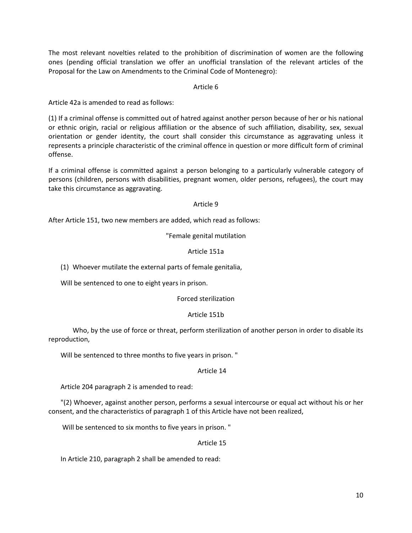The most relevant novelties related to the prohibition of discrimination of women are the following ones (pending official translation we offer an unofficial translation of the relevant articles of the Proposal for the Law on Amendments to the Criminal Code of Montenegro):

## Article 6

Article 42a is amended to read as follows:

(1) If a criminal offense is committed out of hatred against another person because of her or his national or ethnic origin, racial or religious affiliation or the absence of such affiliation, disability, sex, sexual orientation or gender identity, the court shall consider this circumstance as aggravating unless it represents a principle characteristic of the criminal offence in question or more difficult form of criminal offense.

If a criminal offense is committed against a person belonging to a particularly vulnerable category of persons (children, persons with disabilities, pregnant women, older persons, refugees), the court may take this circumstance as aggravating.

## Article 9

After Article 151, two new members are added, which read as follows:

## "Female genital mutilation

## Article 151a

(1) Whoever mutilate the external parts of female genitalia,

Will be sentenced to one to eight years in prison.

## Forced sterilization

# Article 151b

Who, by the use of force or threat, perform sterilization of another person in order to disable its reproduction,

Will be sentenced to three months to five years in prison. "

## Article 14

Article 204 paragraph 2 is amended to read:

"(2) Whoever, against another person, performs a sexual intercourse or equal act without his or her consent, and the characteristics of paragraph 1 of this Article have not been realized,

Will be sentenced to six months to five years in prison. "

## Article 15

In Article 210, paragraph 2 shall be amended to read: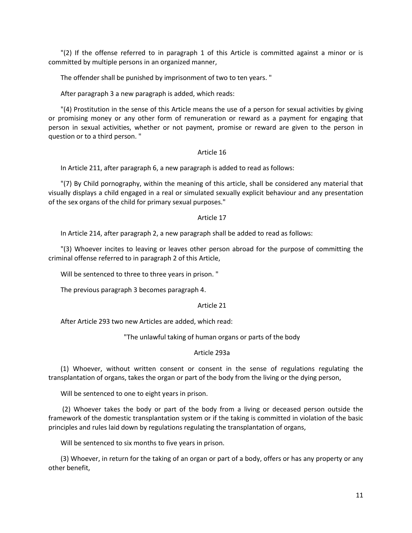"(2) If the offense referred to in paragraph 1 of this Article is committed against a minor or is committed by multiple persons in an organized manner,

The offender shall be punished by imprisonment of two to ten years. "

After paragraph 3 a new paragraph is added, which reads:

"(4) Prostitution in the sense of this Article means the use of a person for sexual activities by giving or promising money or any other form of remuneration or reward as a payment for engaging that person in sexual activities, whether or not payment, promise or reward are given to the person in question or to a third person. "

### Article 16

In Article 211, after paragraph 6, a new paragraph is added to read as follows:

"(7) By Child pornography, within the meaning of this article, shall be considered any material that visually displays a child engaged in a real or simulated sexually explicit behaviour and any presentation of the sex organs of the child for primary sexual purposes."

### Article 17

In Article 214, after paragraph 2, a new paragraph shall be added to read as follows:

"(3) Whoever incites to leaving or leaves other person abroad for the purpose of committing the criminal offense referred to in paragraph 2 of this Article,

Will be sentenced to three to three years in prison. "

The previous paragraph 3 becomes paragraph 4.

#### Article 21

After Article 293 two new Articles are added, which read:

"The unlawful taking of human organs or parts of the body

## Article 293a

(1) Whoever, without written consent or consent in the sense of regulations regulating the transplantation of organs, takes the organ or part of the body from the living or the dying person,

Will be sentenced to one to eight years in prison.

(2) Whoever takes the body or part of the body from a living or deceased person outside the framework of the domestic transplantation system or if the taking is committed in violation of the basic principles and rules laid down by regulations regulating the transplantation of organs,

Will be sentenced to six months to five years in prison.

(3) Whoever, in return for the taking of an organ or part of a body, offers or has any property or any other benefit,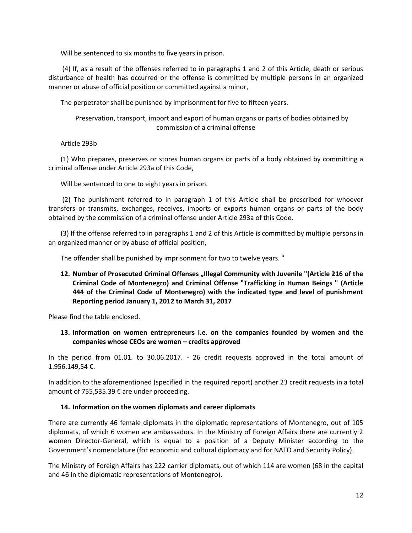Will be sentenced to six months to five years in prison.

(4) If, as a result of the offenses referred to in paragraphs 1 and 2 of this Article, death or serious disturbance of health has occurred or the offense is committed by multiple persons in an organized manner or abuse of official position or committed against a minor,

The perpetrator shall be punished by imprisonment for five to fifteen years.

Preservation, transport, import and export of human organs or parts of bodies obtained by commission of a criminal offense

Article 293b

(1) Who prepares, preserves or stores human organs or parts of a body obtained by committing a criminal offense under Article 293a of this Code,

Will be sentenced to one to eight years in prison.

(2) The punishment referred to in paragraph 1 of this Article shall be prescribed for whoever transfers or transmits, exchanges, receives, imports or exports human organs or parts of the body obtained by the commission of a criminal offense under Article 293a of this Code.

(3) If the offense referred to in paragraphs 1 and 2 of this Article is committed by multiple persons in an organized manner or by abuse of official position,

The offender shall be punished by imprisonment for two to twelve years. "

12. Number of Prosecuted Criminal Offenses "Illegal Community with Juvenile "(Article 216 of the **Criminal Code of Montenegro) and Criminal Offense "Trafficking in Human Beings " (Article 444 of the Criminal Code of Montenegro) with the indicated type and level of punishment Reporting period January 1, 2012 to March 31, 2017**

Please find the table enclosed.

**13. Information on women entrepreneurs i.e. on the companies founded by women and the companies whose CEOs are women – credits approved**

In the period from 01.01. to 30.06.2017. - 26 credit requests approved in the total amount of 1.956.149,54 €.

In addition to the aforementioned (specified in the required report) another 23 credit requests in a total amount of 755,535.39 € are under proceeding.

## **14. Information on the women diplomats and career diplomats**

There are currently 46 female diplomats in the diplomatic representations of Montenegro, out of 105 diplomats, of which 6 women are ambassadors. In the Ministry of Foreign Affairs there are currently 2 women Director-General, which is equal to a position of a Deputy Minister according to the Government's nomenclature (for economic and cultural diplomacy and for NATO and Security Policy).

The Ministry of Foreign Affairs has 222 carrier diplomats, out of which 114 are women (68 in the capital and 46 in the diplomatic representations of Montenegro).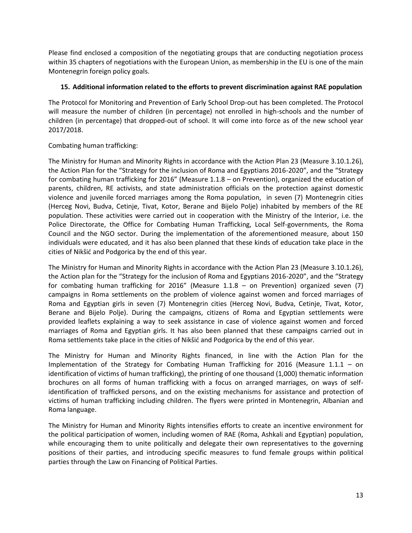Please find enclosed a composition of the negotiating groups that are conducting negotiation process within 35 chapters of negotiations with the European Union, as membership in the EU is one of the main Montenegrin foreign policy goals.

## **15. Additional information related to the efforts to prevent discrimination against RAE population**

The Protocol for Monitoring and Prevention of Early School Drop-out has been completed. The Protocol will measure the number of children (in percentage) not enrolled in high-schools and the number of children (in percentage) that dropped-out of school. It will come into force as of the new school year 2017/2018.

## Combating human trafficking:

The Ministry for Human and Minority Rights in accordance with the Action Plan 23 (Measure 3.10.1.26), the Action Plan for the "Strategy for the inclusion of Roma and Egyptians 2016-2020", and the "Strategy for combating human trafficking for 2016" (Measure 1.1.8 – on Prevention), organized the education of parents, children, RE activists, and state administration officials on the protection against domestic violence and juvenile forced marriages among the Roma population, in seven (7) Montenegrin cities (Herceg Novi, Budva, Cetinje, Tivat, Kotor, Berane and Bijelo Polje) inhabited by members of the RE population. These activities were carried out in cooperation with the Ministry of the Interior, i.e. the Police Directorate, the Office for Combating Human Trafficking, Local Self-governments, the Roma Council and the NGO sector. During the implementation of the aforementioned measure, about 150 individuals were educated, and it has also been planned that these kinds of education take place in the cities of Nikšić and Podgorica by the end of this year.

The Ministry for Human and Minority Rights in accordance with the Action Plan 23 (Measure 3.10.1.26), the Action plan for the "Strategy for the inclusion of Roma and Egyptians 2016-2020", and the "Strategy for combating human trafficking for 2016" (Measure 1.1.8 – on Prevention) organized seven (7) campaigns in Roma settlements on the problem of violence against women and forced marriages of Roma and Egyptian girls in seven (7) Montenegrin cities (Herceg Novi, Budva, Cetinje, Tivat, Kotor, Berane and Bijelo Polje). During the campaigns, citizens of Roma and Egyptian settlements were provided leaflets explaining a way to seek assistance in case of violence against women and forced marriages of Roma and Egyptian girls. It has also been planned that these campaigns carried out in Roma settlements take place in the cities of Nikšić and Podgorica by the end of this year.

The Ministry for Human and Minority Rights financed, in line with the Action Plan for the Implementation of the Strategy for Combating Human Trafficking for 2016 (Measure 1.1.1 – on identification of victims of human trafficking), the printing of one thousand (1,000) thematic information brochures on all forms of human trafficking with a focus on arranged marriages, on ways of selfidentification of trafficked persons, and on the existing mechanisms for assistance and protection of victims of human trafficking including children. The flyers were printed in Montenegrin, Albanian and Roma language.

The Ministry for Human and Minority Rights intensifies efforts to create an incentive environment for the political participation of women, including women of RAE (Roma, Ashkali and Egyptian) population, while encouraging them to unite politically and delegate their own representatives to the governing positions of their parties, and introducing specific measures to fund female groups within political parties through the Law on Financing of Political Parties.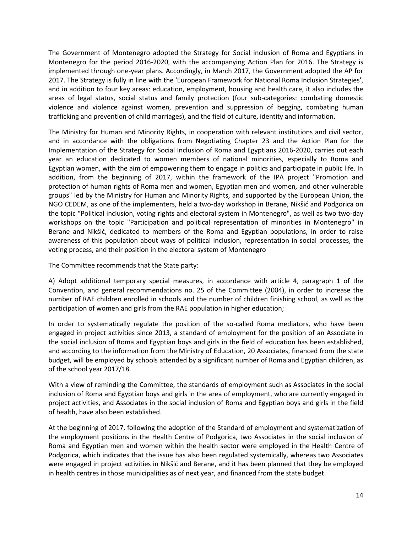The Government of Montenegro adopted the Strategy for Social inclusion of Roma and Egyptians in Montenegro for the period 2016-2020, with the accompanying Action Plan for 2016. The Strategy is implemented through one-year plans. Accordingly, in March 2017, the Government adopted the AP for 2017. The Strategy is fully in line with the 'European Framework for National Roma Inclusion Strategies', and in addition to four key areas: education, employment, housing and health care, it also includes the areas of legal status, social status and family protection (four sub-categories: combating domestic violence and violence against women, prevention and suppression of begging, combating human trafficking and prevention of child marriages), and the field of culture, identity and information.

The Ministry for Human and Minority Rights, in cooperation with relevant institutions and civil sector, and in accordance with the obligations from Negotiating Chapter 23 and the Action Plan for the Implementation of the Strategy for Social Inclusion of Roma and Egyptians 2016-2020, carries out each year an education dedicated to women members of national minorities, especially to Roma and Egyptian women, with the aim of empowering them to engage in politics and participate in public life. In addition, from the beginning of 2017, within the framework of the IPA project "Promotion and protection of human rights of Roma men and women, Egyptian men and women, and other vulnerable groups" led by the Ministry for Human and Minority Rights, and supported by the European Union, the NGO CEDEM, as one of the implementers, held a two-day workshop in Berane, Nikšić and Podgorica on the topic "Political inclusion, voting rights and electoral system in Montenegro", as well as two two-day workshops on the topic "Participation and political representation of minorities in Montenegro" in Berane and Nikšić, dedicated to members of the Roma and Egyptian populations, in order to raise awareness of this population about ways of political inclusion, representation in social processes, the voting process, and their position in the electoral system of Montenegro

The Committee recommends that the State party:

A) Adopt additional temporary special measures, in accordance with article 4, paragraph 1 of the Convention, and general recommendations no. 25 of the Committee (2004), in order to increase the number of RAE children enrolled in schools and the number of children finishing school, as well as the participation of women and girls from the RAE population in higher education;

In order to systematically regulate the position of the so-called Roma mediators, who have been engaged in project activities since 2013, a standard of employment for the position of an Associate in the social inclusion of Roma and Egyptian boys and girls in the field of education has been established, and according to the information from the Ministry of Education, 20 Associates, financed from the state budget, will be employed by schools attended by a significant number of Roma and Egyptian children, as of the school year 2017/18.

With a view of reminding the Committee, the standards of employment such as Associates in the social inclusion of Roma and Egyptian boys and girls in the area of employment, who are currently engaged in project activities, and Associates in the social inclusion of Roma and Egyptian boys and girls in the field of health, have also been established.

At the beginning of 2017, following the adoption of the Standard of employment and systematization of the employment positions in the Health Centre of Podgorica, two Associates in the social inclusion of Roma and Egyptian men and women within the health sector were employed in the Health Centre of Podgorica, which indicates that the issue has also been regulated systemically, whereas two Associates were engaged in project activities in Nikšić and Berane, and it has been planned that they be employed in health centres in those municipalities as of next year, and financed from the state budget.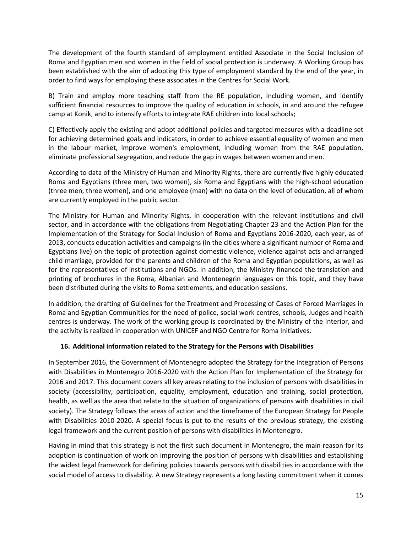The development of the fourth standard of employment entitled Associate in the Social Inclusion of Roma and Egyptian men and women in the field of social protection is underway. A Working Group has been established with the aim of adopting this type of employment standard by the end of the year, in order to find ways for employing these associates in the Centres for Social Work.

B) Train and employ more teaching staff from the RE population, including women, and identify sufficient financial resources to improve the quality of education in schools, in and around the refugee camp at Konik, and to intensify efforts to integrate RAE children into local schools;

C) Effectively apply the existing and adopt additional policies and targeted measures with a deadline set for achieving determined goals and indicators, in order to achieve essential equality of women and men in the labour market, improve women's employment, including women from the RAE population, eliminate professional segregation, and reduce the gap in wages between women and men.

According to data of the Ministry of Human and Minority Rights, there are currently five highly educated Roma and Egyptians (three men, two women), six Roma and Egyptians with the high-school education (three men, three women), and one employee (man) with no data on the level of education, all of whom are currently employed in the public sector.

The Ministry for Human and Minority Rights, in cooperation with the relevant institutions and civil sector, and in accordance with the obligations from Negotiating Chapter 23 and the Action Plan for the Implementation of the Strategy for Social Inclusion of Roma and Egyptians 2016-2020, each year, as of 2013, conducts education activities and campaigns (in the cities where a significant number of Roma and Egyptians live) on the topic of protection against domestic violence, violence against acts and arranged child marriage, provided for the parents and children of the Roma and Egyptian populations, as well as for the representatives of institutions and NGOs. In addition, the Ministry financed the translation and printing of brochures in the Roma, Albanian and Montenegrin languages on this topic, and they have been distributed during the visits to Roma settlements, and education sessions.

In addition, the drafting of Guidelines for the Treatment and Processing of Cases of Forced Marriages in Roma and Egyptian Communities for the need of police, social work centres, schools, Judges and health centres is underway. The work of the working group is coordinated by the Ministry of the Interior, and the activity is realized in cooperation with UNICEF and NGO Centre for Roma Initiatives.

# **16. Additional information related to the Strategy for the Persons with Disabilities**

In September 2016, the Government of Montenegro adopted the Strategy for the Integration of Persons with Disabilities in Montenegro 2016-2020 with the Action Plan for Implementation of the Strategy for 2016 and 2017. This document covers all key areas relating to the inclusion of persons with disabilities in society (accessibility, participation, equality, employment, education and training, social protection, health, as well as the area that relate to the situation of organizations of persons with disabilities in civil society). The Strategy follows the areas of action and the timeframe of the European Strategy for People with Disabilities 2010-2020. A special focus is put to the results of the previous strategy, the existing legal framework and the current position of persons with disabilities in Montenegro.

Having in mind that this strategy is not the first such document in Montenegro, the main reason for its adoption is continuation of work on improving the position of persons with disabilities and establishing the widest legal framework for defining policies towards persons with disabilities in accordance with the social model of access to disability. A new Strategy represents a long lasting commitment when it comes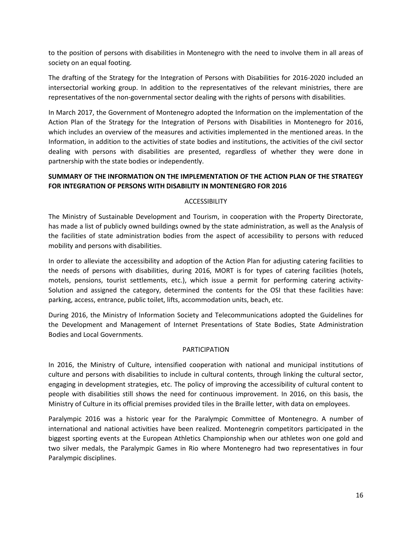to the position of persons with disabilities in Montenegro with the need to involve them in all areas of society on an equal footing.

The drafting of the Strategy for the Integration of Persons with Disabilities for 2016-2020 included an intersectorial working group. In addition to the representatives of the relevant ministries, there are representatives of the non-governmental sector dealing with the rights of persons with disabilities.

In March 2017, the Government of Montenegro adopted the Information on the implementation of the Action Plan of the Strategy for the Integration of Persons with Disabilities in Montenegro for 2016, which includes an overview of the measures and activities implemented in the mentioned areas. In the Information, in addition to the activities of state bodies and institutions, the activities of the civil sector dealing with persons with disabilities are presented, regardless of whether they were done in partnership with the state bodies or independently.

# **SUMMARY OF THE INFORMATION ON THE IMPLEMENTATION OF THE ACTION PLAN OF THE STRATEGY FOR INTEGRATION OF PERSONS WITH DISABILITY IN MONTENEGRO FOR 2016**

# ACCESSIBILITY

The Ministry of Sustainable Development and Tourism, in cooperation with the Property Directorate, has made a list of publicly owned buildings owned by the state administration, as well as the Analysis of the facilities of state administration bodies from the aspect of accessibility to persons with reduced mobility and persons with disabilities.

In order to alleviate the accessibility and adoption of the Action Plan for adjusting catering facilities to the needs of persons with disabilities, during 2016, MORT is for types of catering facilities (hotels, motels, pensions, tourist settlements, etc.), which issue a permit for performing catering activity-Solution and assigned the category, determined the contents for the OSI that these facilities have: parking, access, entrance, public toilet, lifts, accommodation units, beach, etc.

During 2016, the Ministry of Information Society and Telecommunications adopted the Guidelines for the Development and Management of Internet Presentations of State Bodies, State Administration Bodies and Local Governments.

## PARTICIPATION

In 2016, the Ministry of Culture, intensified cooperation with national and municipal institutions of culture and persons with disabilities to include in cultural contents, through linking the cultural sector, engaging in development strategies, etc. The policy of improving the accessibility of cultural content to people with disabilities still shows the need for continuous improvement. In 2016, on this basis, the Ministry of Culture in its official premises provided tiles in the Braille letter, with data on employees.

Paralympic 2016 was a historic year for the Paralympic Committee of Montenegro. A number of international and national activities have been realized. Montenegrin competitors participated in the biggest sporting events at the European Athletics Championship when our athletes won one gold and two silver medals, the Paralympic Games in Rio where Montenegro had two representatives in four Paralympic disciplines.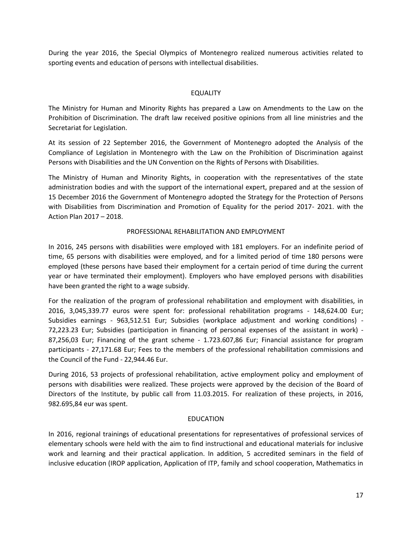During the year 2016, the Special Olympics of Montenegro realized numerous activities related to sporting events and education of persons with intellectual disabilities.

### EQUALITY

The Ministry for Human and Minority Rights has prepared a Law on Amendments to the Law on the Prohibition of Discrimination. The draft law received positive opinions from all line ministries and the Secretariat for Legislation.

At its session of 22 September 2016, the Government of Montenegro adopted the Analysis of the Compliance of Legislation in Montenegro with the Law on the Prohibition of Discrimination against Persons with Disabilities and the UN Convention on the Rights of Persons with Disabilities.

The Ministry of Human and Minority Rights, in cooperation with the representatives of the state administration bodies and with the support of the international expert, prepared and at the session of 15 December 2016 the Government of Montenegro adopted the Strategy for the Protection of Persons with Disabilities from Discrimination and Promotion of Equality for the period 2017- 2021. with the Action Plan 2017 – 2018.

## PROFESSIONAL REHABILITATION AND EMPLOYMENT

In 2016, 245 persons with disabilities were employed with 181 employers. For an indefinite period of time, 65 persons with disabilities were employed, and for a limited period of time 180 persons were employed (these persons have based their employment for a certain period of time during the current year or have terminated their employment). Employers who have employed persons with disabilities have been granted the right to a wage subsidy.

For the realization of the program of professional rehabilitation and employment with disabilities, in 2016, 3,045,339.77 euros were spent for: professional rehabilitation programs - 148,624.00 Eur; Subsidies earnings - 963,512.51 Eur; Subsidies (workplace adjustment and working conditions) - 72,223.23 Eur; Subsidies (participation in financing of personal expenses of the assistant in work) - 87,256,03 Eur; Financing of the grant scheme - 1.723.607,86 Eur; Financial assistance for program participants - 27,171.68 Eur; Fees to the members of the professional rehabilitation commissions and the Council of the Fund - 22,944.46 Eur.

During 2016, 53 projects of professional rehabilitation, active employment policy and employment of persons with disabilities were realized. These projects were approved by the decision of the Board of Directors of the Institute, by public call from 11.03.2015. For realization of these projects, in 2016, 982.695,84 eur was spent.

#### EDUCATION

In 2016, regional trainings of educational presentations for representatives of professional services of elementary schools were held with the aim to find instructional and educational materials for inclusive work and learning and their practical application. In addition, 5 accredited seminars in the field of inclusive education (IROP application, Application of ITP, family and school cooperation, Mathematics in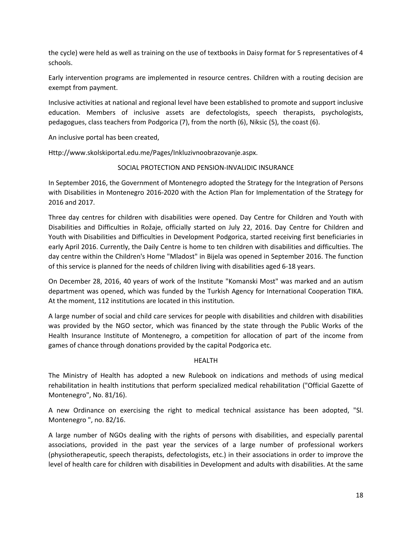the cycle) were held as well as training on the use of textbooks in Daisy format for 5 representatives of 4 schools.

Early intervention programs are implemented in resource centres. Children with a routing decision are exempt from payment.

Inclusive activities at national and regional level have been established to promote and support inclusive education. Members of inclusive assets are defectologists, speech therapists, psychologists, pedagogues, class teachers from Podgorica (7), from the north (6), Niksic (5), the coast (6).

An inclusive portal has been created,

Http://www.skolskiportal.edu.me/Pages/Inkluzivnoobrazovanje.aspx.

## SOCIAL PROTECTION AND PENSION-INVALIDIC INSURANCE

In September 2016, the Government of Montenegro adopted the Strategy for the Integration of Persons with Disabilities in Montenegro 2016-2020 with the Action Plan for Implementation of the Strategy for 2016 and 2017.

Three day centres for children with disabilities were opened. Day Centre for Children and Youth with Disabilities and Difficulties in Rožaje, officially started on July 22, 2016. Day Centre for Children and Youth with Disabilities and Difficulties in Development Podgorica, started receiving first beneficiaries in early April 2016. Currently, the Daily Centre is home to ten children with disabilities and difficulties. The day centre within the Children's Home "Mladost" in Bijela was opened in September 2016. The function of this service is planned for the needs of children living with disabilities aged 6-18 years.

On December 28, 2016, 40 years of work of the Institute "Komanski Most" was marked and an autism department was opened, which was funded by the Turkish Agency for International Cooperation TIKA. At the moment, 112 institutions are located in this institution.

A large number of social and child care services for people with disabilities and children with disabilities was provided by the NGO sector, which was financed by the state through the Public Works of the Health Insurance Institute of Montenegro, a competition for allocation of part of the income from games of chance through donations provided by the capital Podgorica etc.

## HEALTH

The Ministry of Health has adopted a new Rulebook on indications and methods of using medical rehabilitation in health institutions that perform specialized medical rehabilitation ("Official Gazette of Montenegro", No. 81/16).

A new Ordinance on exercising the right to medical technical assistance has been adopted, "Sl. Montenegro ", no. 82/16.

A large number of NGOs dealing with the rights of persons with disabilities, and especially parental associations, provided in the past year the services of a large number of professional workers (physiotherapeutic, speech therapists, defectologists, etc.) in their associations in order to improve the level of health care for children with disabilities in Development and adults with disabilities. At the same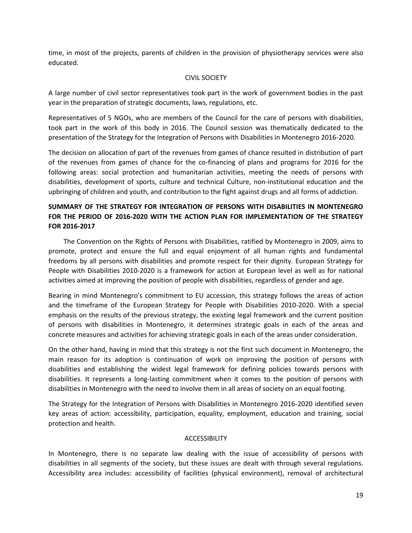time, in most of the projects, parents of children in the provision of physiotherapy services were also educated.

### CIVIL SOCIETY

A large number of civil sector representatives took part in the work of government bodies in the past year in the preparation of strategic documents, laws, regulations, etc.

Representatives of 5 NGOs, who are members of the Council for the care of persons with disabilities, took part in the work of this body in 2016. The Council session was thematically dedicated to the presentation of the Strategy for the Integration of Persons with Disabilities in Montenegro 2016-2020.

The decision on allocation of part of the revenues from games of chance resulted in distribution of part of the revenues from games of chance for the co-financing of plans and programs for 2016 for the following areas: social protection and humanitarian activities, meeting the needs of persons with disabilities, development of sports, culture and technical Culture, non-institutional education and the upbringing of children and youth, and contribution to the fight against drugs and all forms of addiction.

# **SUMMARY OF THE STRATEGY FOR INTEGRATION OF PERSONS WITH DISABILITIES IN MONTENEGRO FOR THE PERIOD OF 2016-2020 WITH THE ACTION PLAN FOR IMPLEMENTATION OF THE STRATEGY FOR 2016-2017**

 The Convention on the Rights of Persons with Disabilities, ratified by Montenegro in 2009, aims to promote, protect and ensure the full and equal enjoyment of all human rights and fundamental freedoms by all persons with disabilities and promote respect for their dignity. European Strategy for People with Disabilities 2010-2020 is a framework for action at European level as well as for national activities aimed at improving the position of people with disabilities, regardless of gender and age.

Bearing in mind Montenegro's commitment to EU accession, this strategy follows the areas of action and the timeframe of the European Strategy for People with Disabilities 2010-2020. With a special emphasis on the results of the previous strategy, the existing legal framework and the current position of persons with disabilities in Montenegro, it determines strategic goals in each of the areas and concrete measures and activities for achieving strategic goals in each of the areas under consideration.

On the other hand, having in mind that this strategy is not the first such document in Montenegro, the main reason for its adoption is continuation of work on improving the position of persons with disabilities and establishing the widest legal framework for defining policies towards persons with disabilities. It represents a long-lasting commitment when it comes to the position of persons with disabilities in Montenegro with the need to involve them in all areas of society on an equal footing.

The Strategy for the Integration of Persons with Disabilities in Montenegro 2016-2020 identified seven key areas of action: accessibility, participation, equality, employment, education and training, social protection and health.

## ACCESSIBILITY

In Montenegro, there is no separate law dealing with the issue of accessibility of persons with disabilities in all segments of the society, but these issues are dealt with through several regulations. Accessibility area includes: accessibility of facilities (physical environment), removal of architectural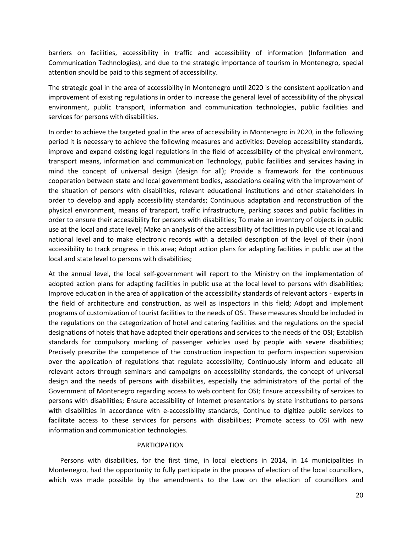barriers on facilities, accessibility in traffic and accessibility of information (Information and Communication Technologies), and due to the strategic importance of tourism in Montenegro, special attention should be paid to this segment of accessibility.

The strategic goal in the area of accessibility in Montenegro until 2020 is the consistent application and improvement of existing regulations in order to increase the general level of accessibility of the physical environment, public transport, information and communication technologies, public facilities and services for persons with disabilities.

In order to achieve the targeted goal in the area of accessibility in Montenegro in 2020, in the following period it is necessary to achieve the following measures and activities: Develop accessibility standards, improve and expand existing legal regulations in the field of accessibility of the physical environment, transport means, information and communication Technology, public facilities and services having in mind the concept of universal design (design for all); Provide a framework for the continuous cooperation between state and local government bodies, associations dealing with the improvement of the situation of persons with disabilities, relevant educational institutions and other stakeholders in order to develop and apply accessibility standards; Continuous adaptation and reconstruction of the physical environment, means of transport, traffic infrastructure, parking spaces and public facilities in order to ensure their accessibility for persons with disabilities; To make an inventory of objects in public use at the local and state level; Make an analysis of the accessibility of facilities in public use at local and national level and to make electronic records with a detailed description of the level of their (non) accessibility to track progress in this area; Adopt action plans for adapting facilities in public use at the local and state level to persons with disabilities;

At the annual level, the local self-government will report to the Ministry on the implementation of adopted action plans for adapting facilities in public use at the local level to persons with disabilities; Improve education in the area of application of the accessibility standards of relevant actors - experts in the field of architecture and construction, as well as inspectors in this field; Adopt and implement programs of customization of tourist facilities to the needs of OSI. These measures should be included in the regulations on the categorization of hotel and catering facilities and the regulations on the special designations of hotels that have adapted their operations and services to the needs of the OSI; Establish standards for compulsory marking of passenger vehicles used by people with severe disabilities; Precisely prescribe the competence of the construction inspection to perform inspection supervision over the application of regulations that regulate accessibility; Continuously inform and educate all relevant actors through seminars and campaigns on accessibility standards, the concept of universal design and the needs of persons with disabilities, especially the administrators of the portal of the Government of Montenegro regarding access to web content for OSI; Ensure accessibility of services to persons with disabilities; Ensure accessibility of Internet presentations by state institutions to persons with disabilities in accordance with e-accessibility standards; Continue to digitize public services to facilitate access to these services for persons with disabilities; Promote access to OSI with new information and communication technologies.

#### PARTICIPATION

 Persons with disabilities, for the first time, in local elections in 2014, in 14 municipalities in Montenegro, had the opportunity to fully participate in the process of election of the local councillors, which was made possible by the amendments to the Law on the election of councillors and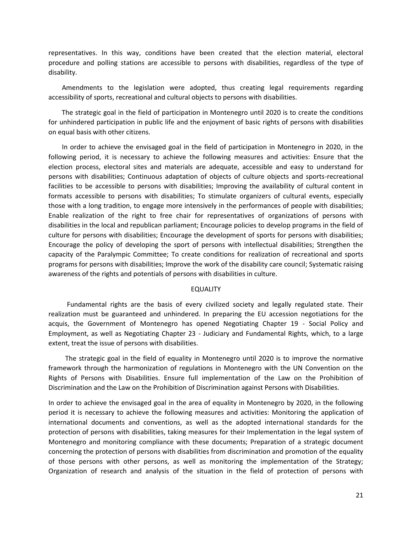representatives. In this way, conditions have been created that the election material, electoral procedure and polling stations are accessible to persons with disabilities, regardless of the type of disability.

 Amendments to the legislation were adopted, thus creating legal requirements regarding accessibility of sports, recreational and cultural objects to persons with disabilities.

 The strategic goal in the field of participation in Montenegro until 2020 is to create the conditions for unhindered participation in public life and the enjoyment of basic rights of persons with disabilities on equal basis with other citizens.

 In order to achieve the envisaged goal in the field of participation in Montenegro in 2020, in the following period, it is necessary to achieve the following measures and activities: Ensure that the election process, electoral sites and materials are adequate, accessible and easy to understand for persons with disabilities; Continuous adaptation of objects of culture objects and sports-recreational facilities to be accessible to persons with disabilities; Improving the availability of cultural content in formats accessible to persons with disabilities; To stimulate organizers of cultural events, especially those with a long tradition, to engage more intensively in the performances of people with disabilities; Enable realization of the right to free chair for representatives of organizations of persons with disabilities in the local and republican parliament; Encourage policies to develop programs in the field of culture for persons with disabilities; Encourage the development of sports for persons with disabilities; Encourage the policy of developing the sport of persons with intellectual disabilities; Strengthen the capacity of the Paralympic Committee; To create conditions for realization of recreational and sports programs for persons with disabilities; Improve the work of the disability care council; Systematic raising awareness of the rights and potentials of persons with disabilities in culture.

#### EQUALITY

 Fundamental rights are the basis of every civilized society and legally regulated state. Their realization must be guaranteed and unhindered. In preparing the EU accession negotiations for the acquis, the Government of Montenegro has opened Negotiating Chapter 19 - Social Policy and Employment, as well as Negotiating Chapter 23 - Judiciary and Fundamental Rights, which, to a large extent, treat the issue of persons with disabilities.

 The strategic goal in the field of equality in Montenegro until 2020 is to improve the normative framework through the harmonization of regulations in Montenegro with the UN Convention on the Rights of Persons with Disabilities. Ensure full implementation of the Law on the Prohibition of Discrimination and the Law on the Prohibition of Discrimination against Persons with Disabilities.

In order to achieve the envisaged goal in the area of equality in Montenegro by 2020, in the following period it is necessary to achieve the following measures and activities: Monitoring the application of international documents and conventions, as well as the adopted international standards for the protection of persons with disabilities, taking measures for their Implementation in the legal system of Montenegro and monitoring compliance with these documents; Preparation of a strategic document concerning the protection of persons with disabilities from discrimination and promotion of the equality of those persons with other persons, as well as monitoring the implementation of the Strategy; Organization of research and analysis of the situation in the field of protection of persons with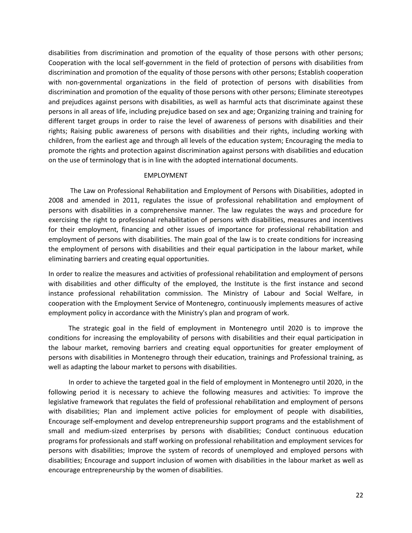disabilities from discrimination and promotion of the equality of those persons with other persons; Cooperation with the local self-government in the field of protection of persons with disabilities from discrimination and promotion of the equality of those persons with other persons; Establish cooperation with non-governmental organizations in the field of protection of persons with disabilities from discrimination and promotion of the equality of those persons with other persons; Eliminate stereotypes and prejudices against persons with disabilities, as well as harmful acts that discriminate against these persons in all areas of life, including prejudice based on sex and age; Organizing training and training for different target groups in order to raise the level of awareness of persons with disabilities and their rights; Raising public awareness of persons with disabilities and their rights, including working with children, from the earliest age and through all levels of the education system; Encouraging the media to promote the rights and protection against discrimination against persons with disabilities and education on the use of terminology that is in line with the adopted international documents.

#### EMPLOYMENT

 The Law on Professional Rehabilitation and Employment of Persons with Disabilities, adopted in 2008 and amended in 2011, regulates the issue of professional rehabilitation and employment of persons with disabilities in a comprehensive manner. The law regulates the ways and procedure for exercising the right to professional rehabilitation of persons with disabilities, measures and incentives for their employment, financing and other issues of importance for professional rehabilitation and employment of persons with disabilities. The main goal of the law is to create conditions for increasing the employment of persons with disabilities and their equal participation in the labour market, while eliminating barriers and creating equal opportunities.

In order to realize the measures and activities of professional rehabilitation and employment of persons with disabilities and other difficulty of the employed, the Institute is the first instance and second instance professional rehabilitation commission. The Ministry of Labour and Social Welfare, in cooperation with the Employment Service of Montenegro, continuously implements measures of active employment policy in accordance with the Ministry's plan and program of work.

 The strategic goal in the field of employment in Montenegro until 2020 is to improve the conditions for increasing the employability of persons with disabilities and their equal participation in the labour market, removing barriers and creating equal opportunities for greater employment of persons with disabilities in Montenegro through their education, trainings and Professional training, as well as adapting the labour market to persons with disabilities.

 In order to achieve the targeted goal in the field of employment in Montenegro until 2020, in the following period it is necessary to achieve the following measures and activities: To improve the legislative framework that regulates the field of professional rehabilitation and employment of persons with disabilities; Plan and implement active policies for employment of people with disabilities, Encourage self-employment and develop entrepreneurship support programs and the establishment of small and medium-sized enterprises by persons with disabilities; Conduct continuous education programs for professionals and staff working on professional rehabilitation and employment services for persons with disabilities; Improve the system of records of unemployed and employed persons with disabilities; Encourage and support inclusion of women with disabilities in the labour market as well as encourage entrepreneurship by the women of disabilities.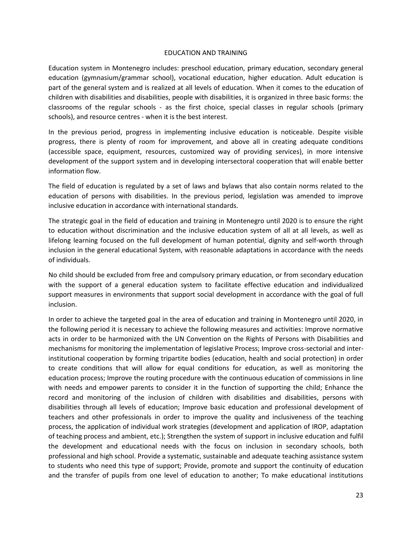#### EDUCATION AND TRAINING

Education system in Montenegro includes: preschool education, primary education, secondary general education (gymnasium/grammar school), vocational education, higher education. Adult education is part of the general system and is realized at all levels of education. When it comes to the education of children with disabilities and disabilities, people with disabilities, it is organized in three basic forms: the classrooms of the regular schools - as the first choice, special classes in regular schools (primary schools), and resource centres - when it is the best interest.

In the previous period, progress in implementing inclusive education is noticeable. Despite visible progress, there is plenty of room for improvement, and above all in creating adequate conditions (accessible space, equipment, resources, customized way of providing services), in more intensive development of the support system and in developing intersectoral cooperation that will enable better information flow.

The field of education is regulated by a set of laws and bylaws that also contain norms related to the education of persons with disabilities. In the previous period, legislation was amended to improve inclusive education in accordance with international standards.

The strategic goal in the field of education and training in Montenegro until 2020 is to ensure the right to education without discrimination and the inclusive education system of all at all levels, as well as lifelong learning focused on the full development of human potential, dignity and self-worth through inclusion in the general educational System, with reasonable adaptations in accordance with the needs of individuals.

No child should be excluded from free and compulsory primary education, or from secondary education with the support of a general education system to facilitate effective education and individualized support measures in environments that support social development in accordance with the goal of full inclusion.

In order to achieve the targeted goal in the area of education and training in Montenegro until 2020, in the following period it is necessary to achieve the following measures and activities: Improve normative acts in order to be harmonized with the UN Convention on the Rights of Persons with Disabilities and mechanisms for monitoring the implementation of legislative Process; Improve cross-sectorial and interinstitutional cooperation by forming tripartite bodies (education, health and social protection) in order to create conditions that will allow for equal conditions for education, as well as monitoring the education process; Improve the routing procedure with the continuous education of commissions in line with needs and empower parents to consider it in the function of supporting the child; Enhance the record and monitoring of the inclusion of children with disabilities and disabilities, persons with disabilities through all levels of education; Improve basic education and professional development of teachers and other professionals in order to improve the quality and inclusiveness of the teaching process, the application of individual work strategies (development and application of IROP, adaptation of teaching process and ambient, etc.); Strengthen the system of support in inclusive education and fulfil the development and educational needs with the focus on inclusion in secondary schools, both professional and high school. Provide a systematic, sustainable and adequate teaching assistance system to students who need this type of support; Provide, promote and support the continuity of education and the transfer of pupils from one level of education to another; To make educational institutions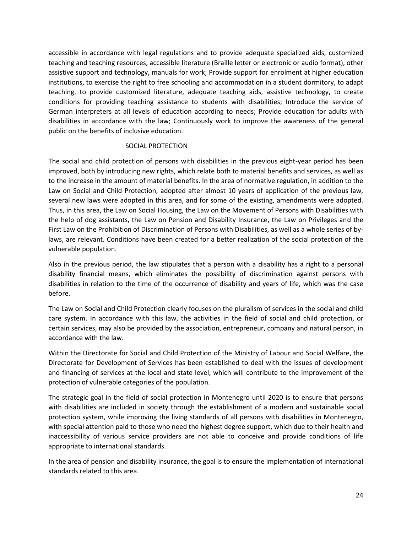accessible in accordance with legal regulations and to provide adequate specialized aids, customized teaching and teaching resources, accessible literature (Braille letter or electronic or audio format), other assistive support and technology, manuals for work; Provide support for enrolment at higher education institutions, to exercise the right to free schooling and accommodation in a student dormitory, to adapt teaching, to provide customized literature, adequate teaching aids, assistive technology, to create conditions for providing teaching assistance to students with disabilities; Introduce the service of German interpreters at all levels of education according to needs; Provide education for adults with disabilities in accordance with the law; Continuously work to improve the awareness of the general public on the benefits of inclusive education.

## SOCIAL PROTECTION

The social and child protection of persons with disabilities in the previous eight-year period has been improved, both by introducing new rights, which relate both to material benefits and services, as well as to the increase in the amount of material benefits. In the area of normative regulation, in addition to the Law on Social and Child Protection, adopted after almost 10 years of application of the previous law, several new laws were adopted in this area, and for some of the existing, amendments were adopted. Thus, in this area, the Law on Social Housing, the Law on the Movement of Persons with Disabilities with the help of dog assistants, the Law on Pension and Disability Insurance, the Law on Privileges and the First Law on the Prohibition of Discrimination of Persons with Disabilities, as well as a whole series of bylaws, are relevant. Conditions have been created for a better realization of the social protection of the vulnerable population.

Also in the previous period, the law stipulates that a person with a disability has a right to a personal disability financial means, which eliminates the possibility of discrimination against persons with disabilities in relation to the time of the occurrence of disability and years of life, which was the case before.

The Law on Social and Child Protection clearly focuses on the pluralism of services in the social and child care system. In accordance with this law, the activities in the field of social and child protection, or certain services, may also be provided by the association, entrepreneur, company and natural person, in accordance with the law.

Within the Directorate for Social and Child Protection of the Ministry of Labour and Social Welfare, the Directorate for Development of Services has been established to deal with the issues of development and financing of services at the local and state level, which will contribute to the improvement of the protection of vulnerable categories of the population.

The strategic goal in the field of social protection in Montenegro until 2020 is to ensure that persons with disabilities are included in society through the establishment of a modern and sustainable social protection system, while improving the living standards of all persons with disabilities in Montenegro, with special attention paid to those who need the highest degree support, which due to their health and inaccessibility of various service providers are not able to conceive and provide conditions of life appropriate to international standards.

In the area of pension and disability insurance, the goal is to ensure the implementation of international standards related to this area.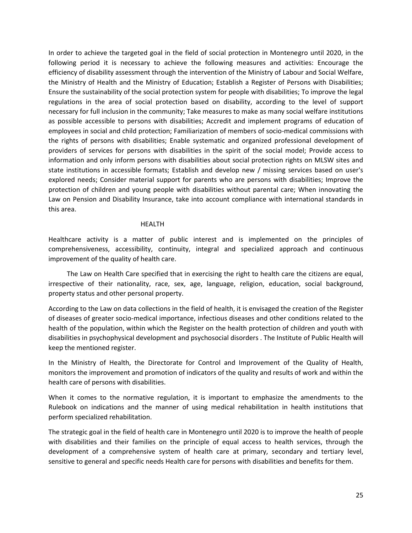In order to achieve the targeted goal in the field of social protection in Montenegro until 2020, in the following period it is necessary to achieve the following measures and activities: Encourage the efficiency of disability assessment through the intervention of the Ministry of Labour and Social Welfare, the Ministry of Health and the Ministry of Education; Establish a Register of Persons with Disabilities; Ensure the sustainability of the social protection system for people with disabilities; To improve the legal regulations in the area of social protection based on disability, according to the level of support necessary for full inclusion in the community; Take measures to make as many social welfare institutions as possible accessible to persons with disabilities; Accredit and implement programs of education of employees in social and child protection; Familiarization of members of socio-medical commissions with the rights of persons with disabilities; Enable systematic and organized professional development of providers of services for persons with disabilities in the spirit of the social model; Provide access to information and only inform persons with disabilities about social protection rights on MLSW sites and state institutions in accessible formats; Establish and develop new / missing services based on user's explored needs; Consider material support for parents who are persons with disabilities; Improve the protection of children and young people with disabilities without parental care; When innovating the Law on Pension and Disability Insurance, take into account compliance with international standards in this area.

#### HEALTH

Healthcare activity is a matter of public interest and is implemented on the principles of comprehensiveness, accessibility, continuity, integral and specialized approach and continuous improvement of the quality of health care.

 The Law on Health Care specified that in exercising the right to health care the citizens are equal, irrespective of their nationality, race, sex, age, language, religion, education, social background, property status and other personal property.

According to the Law on data collections in the field of health, it is envisaged the creation of the Register of diseases of greater socio-medical importance, infectious diseases and other conditions related to the health of the population, within which the Register on the health protection of children and youth with disabilities in psychophysical development and psychosocial disorders . The Institute of Public Health will keep the mentioned register.

In the Ministry of Health, the Directorate for Control and Improvement of the Quality of Health, monitors the improvement and promotion of indicators of the quality and results of work and within the health care of persons with disabilities.

When it comes to the normative regulation, it is important to emphasize the amendments to the Rulebook on indications and the manner of using medical rehabilitation in health institutions that perform specialized rehabilitation.

The strategic goal in the field of health care in Montenegro until 2020 is to improve the health of people with disabilities and their families on the principle of equal access to health services, through the development of a comprehensive system of health care at primary, secondary and tertiary level, sensitive to general and specific needs Health care for persons with disabilities and benefits for them.